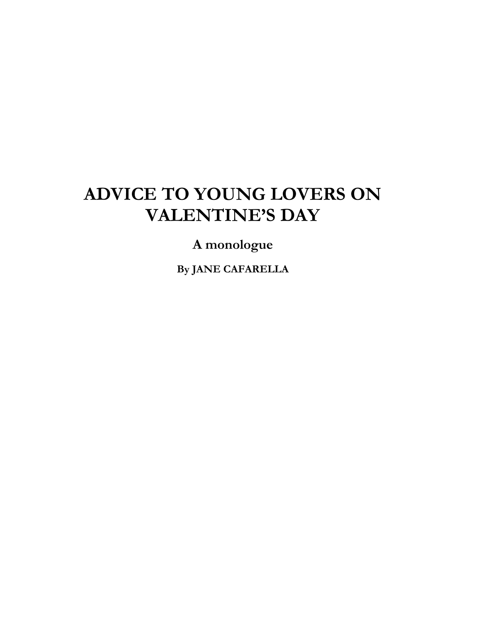## **ADVICE TO YOUNG LOVERS ON VALENTINE'S DAY**

**A monologue**

**By JANE CAFARELLA**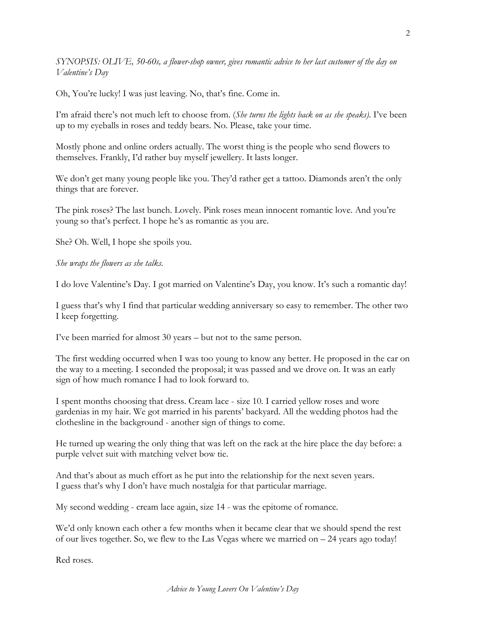*SYNOPSIS: OLIVE, 50-60s, a flower-shop owner, gives romantic advice to her last customer of the day on Valentine's Day*

Oh, You're lucky! I was just leaving. No, that's fine. Come in.

I'm afraid there's not much left to choose from. (*She turns the lights back on as she speaks)*. I've been up to my eyeballs in roses and teddy bears. No. Please, take your time.

Mostly phone and online orders actually. The worst thing is the people who send flowers to themselves. Frankly, I'd rather buy myself jewellery. It lasts longer.

We don't get many young people like you. They'd rather get a tattoo. Diamonds aren't the only things that are forever.

The pink roses? The last bunch. Lovely. Pink roses mean innocent romantic love. And you're young so that's perfect. I hope he's as romantic as you are.

She? Oh. Well, I hope she spoils you.

*She wraps the flowers as she talks.*

I do love Valentine's Day. I got married on Valentine's Day, you know. It's such a romantic day!

I guess that's why I find that particular wedding anniversary so easy to remember. The other two I keep forgetting.

I've been married for almost 30 years – but not to the same person.

The first wedding occurred when I was too young to know any better. He proposed in the car on the way to a meeting. I seconded the proposal; it was passed and we drove on. It was an early sign of how much romance I had to look forward to.

I spent months choosing that dress. Cream lace - size 10. I carried yellow roses and wore gardenias in my hair. We got married in his parents' backyard. All the wedding photos had the clothesline in the background - another sign of things to come.

He turned up wearing the only thing that was left on the rack at the hire place the day before: a purple velvet suit with matching velvet bow tie.

And that's about as much effort as he put into the relationship for the next seven years. I guess that's why I don't have much nostalgia for that particular marriage.

My second wedding - cream lace again, size 14 - was the epitome of romance.

We'd only known each other a few months when it became clear that we should spend the rest of our lives together. So, we flew to the Las Vegas where we married on  $-24$  years ago today!

Red roses.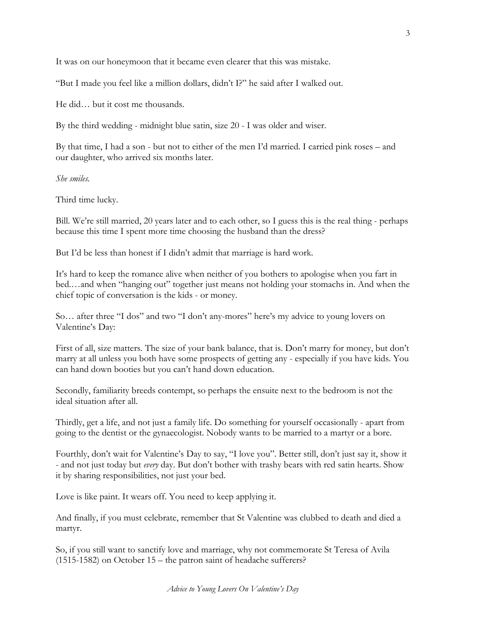It was on our honeymoon that it became even clearer that this was mistake.

"But I made you feel like a million dollars, didn't I?" he said after I walked out.

He did… but it cost me thousands.

By the third wedding - midnight blue satin, size 20 - I was older and wiser.

By that time, I had a son - but not to either of the men I'd married. I carried pink roses – and our daughter, who arrived six months later.

*She smiles.*

Third time lucky.

Bill. We're still married, 20 years later and to each other, so I guess this is the real thing - perhaps because this time I spent more time choosing the husband than the dress?

But I'd be less than honest if I didn't admit that marriage is hard work.

It's hard to keep the romance alive when neither of you bothers to apologise when you fart in bed.…and when "hanging out" together just means not holding your stomachs in. And when the chief topic of conversation is the kids - or money.

So… after three "I dos" and two "I don't any-mores" here's my advice to young lovers on Valentine's Day:

First of all, size matters. The size of your bank balance, that is. Don't marry for money, but don't marry at all unless you both have some prospects of getting any - especially if you have kids. You can hand down booties but you can't hand down education.

Secondly, familiarity breeds contempt, so perhaps the ensuite next to the bedroom is not the ideal situation after all.

Thirdly, get a life, and not just a family life. Do something for yourself occasionally - apart from going to the dentist or the gynaecologist. Nobody wants to be married to a martyr or a bore.

Fourthly, don't wait for Valentine's Day to say, "I love you". Better still, don't just say it, show it - and not just today but *every* day. But don't bother with trashy bears with red satin hearts. Show it by sharing responsibilities, not just your bed.

Love is like paint. It wears off. You need to keep applying it.

And finally, if you must celebrate, remember that St Valentine was clubbed to death and died a martyr.

So, if you still want to sanctify love and marriage, why not commemorate St Teresa of Avila (1515-1582) on October 15 – the patron saint of headache sufferers?